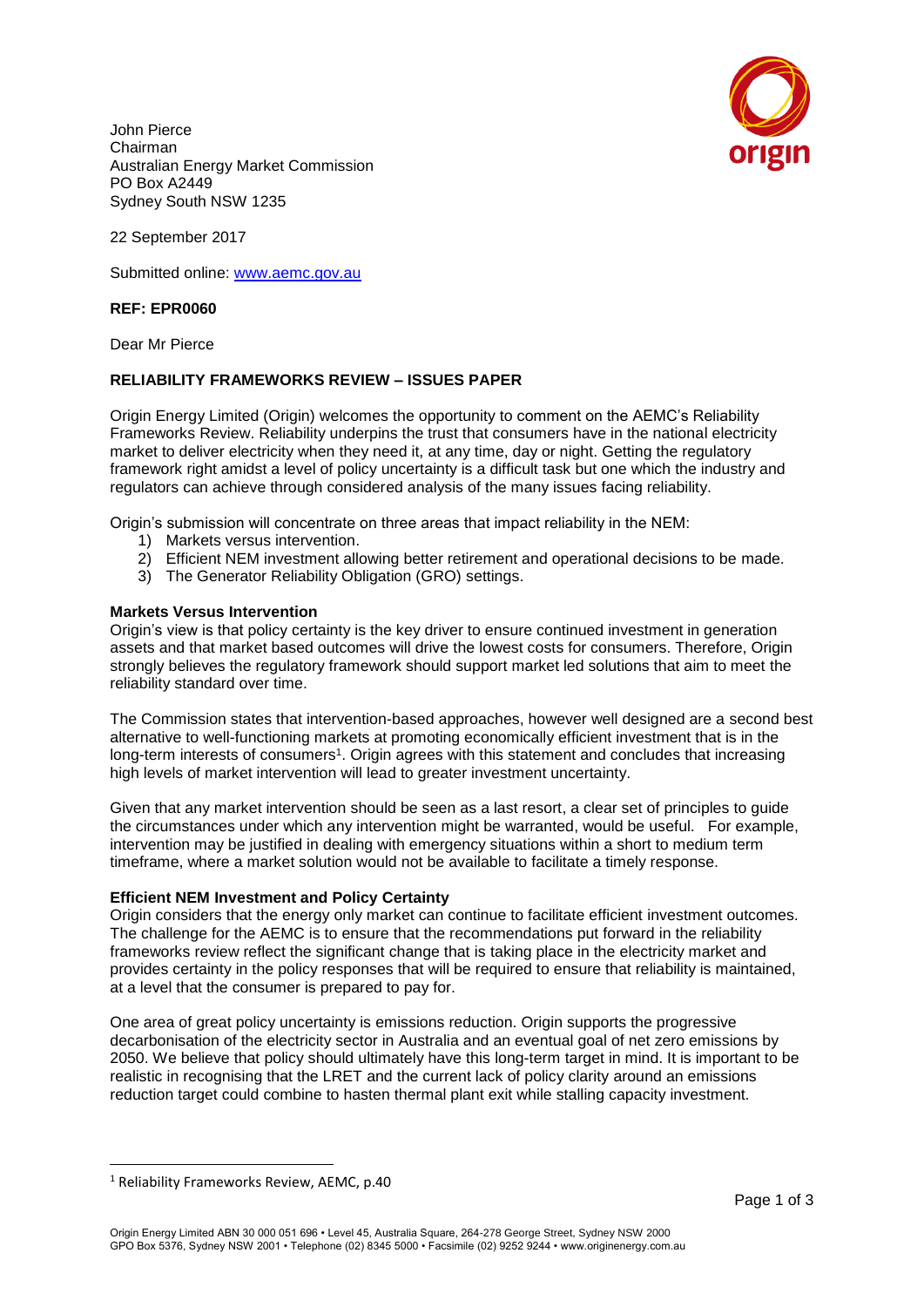John Pierce Chairman Australian Energy Market Commission PO Box A2449 Sydney South NSW 1235



22 September 2017

Submitted online: [www.aemc.gov.au](http://www.aemc.gov.au/)

# **REF: EPR0060**

Dear Mr Pierce

## **RELIABILITY FRAMEWORKS REVIEW – ISSUES PAPER**

Origin Energy Limited (Origin) welcomes the opportunity to comment on the AEMC's Reliability Frameworks Review. Reliability underpins the trust that consumers have in the national electricity market to deliver electricity when they need it, at any time, day or night. Getting the regulatory framework right amidst a level of policy uncertainty is a difficult task but one which the industry and regulators can achieve through considered analysis of the many issues facing reliability.

Origin's submission will concentrate on three areas that impact reliability in the NEM:

- 1) Markets versus intervention.
- 2) Efficient NEM investment allowing better retirement and operational decisions to be made.
- 3) The Generator Reliability Obligation (GRO) settings.

## **Markets Versus Intervention**

Origin's view is that policy certainty is the key driver to ensure continued investment in generation assets and that market based outcomes will drive the lowest costs for consumers. Therefore, Origin strongly believes the regulatory framework should support market led solutions that aim to meet the reliability standard over time.

The Commission states that intervention-based approaches, however well designed are a second best alternative to well-functioning markets at promoting economically efficient investment that is in the long-term interests of consumers<sup>1</sup>. Origin agrees with this statement and concludes that increasing high levels of market intervention will lead to greater investment uncertainty.

Given that any market intervention should be seen as a last resort, a clear set of principles to guide the circumstances under which any intervention might be warranted, would be useful. For example, intervention may be justified in dealing with emergency situations within a short to medium term timeframe, where a market solution would not be available to facilitate a timely response.

#### **Efficient NEM Investment and Policy Certainty**

Origin considers that the energy only market can continue to facilitate efficient investment outcomes. The challenge for the AEMC is to ensure that the recommendations put forward in the reliability frameworks review reflect the significant change that is taking place in the electricity market and provides certainty in the policy responses that will be required to ensure that reliability is maintained, at a level that the consumer is prepared to pay for.

One area of great policy uncertainty is emissions reduction. Origin supports the progressive decarbonisation of the electricity sector in Australia and an eventual goal of net zero emissions by 2050. We believe that policy should ultimately have this long-term target in mind. It is important to be realistic in recognising that the LRET and the current lack of policy clarity around an emissions reduction target could combine to hasten thermal plant exit while stalling capacity investment.

 $\overline{a}$ 

<sup>1</sup> Reliability Frameworks Review, AEMC, p.40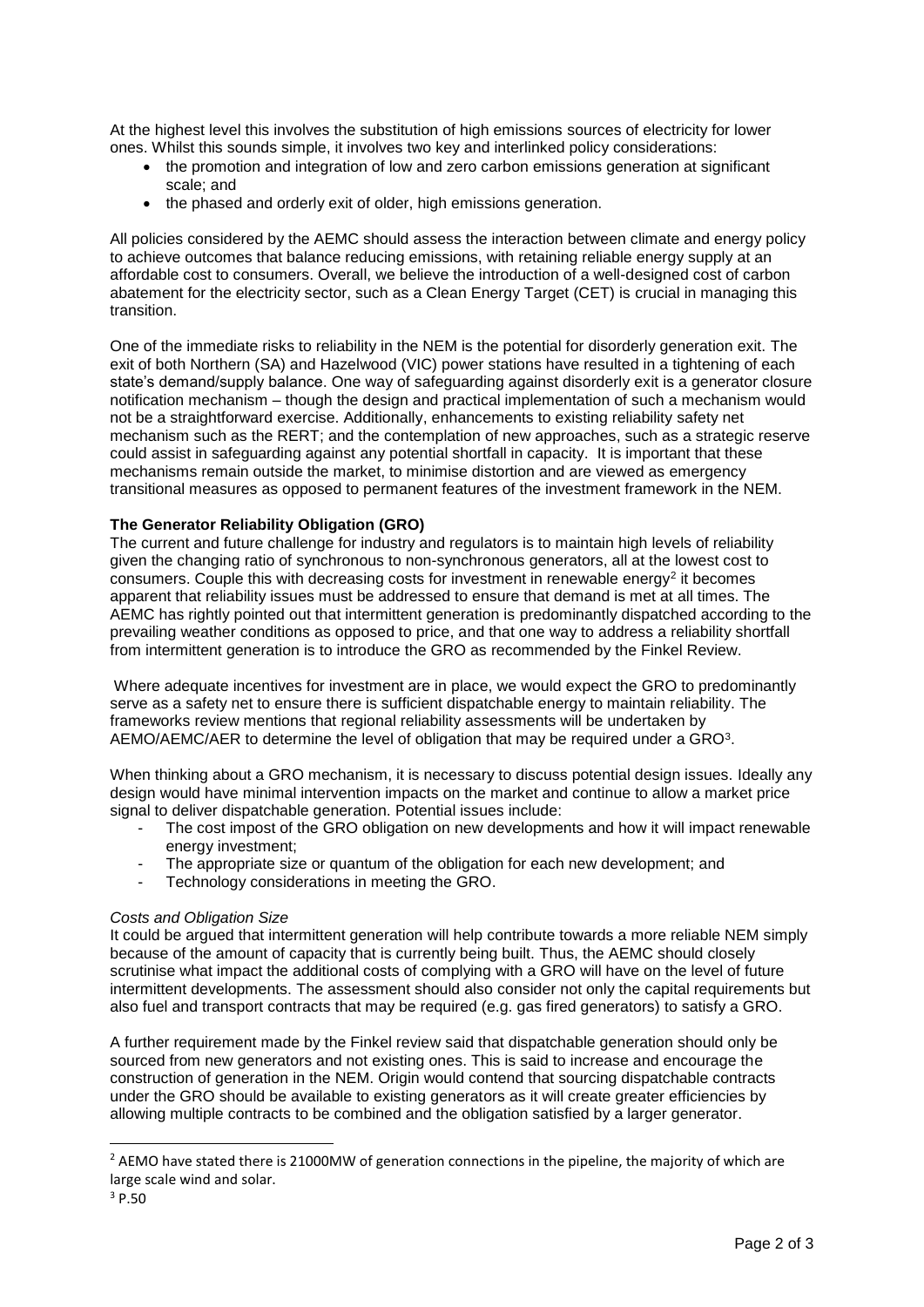At the highest level this involves the substitution of high emissions sources of electricity for lower ones. Whilst this sounds simple, it involves two key and interlinked policy considerations:

- the promotion and integration of low and zero carbon emissions generation at significant scale; and
- the phased and orderly exit of older, high emissions generation.

All policies considered by the AEMC should assess the interaction between climate and energy policy to achieve outcomes that balance reducing emissions, with retaining reliable energy supply at an affordable cost to consumers. Overall, we believe the introduction of a well-designed cost of carbon abatement for the electricity sector, such as a Clean Energy Target (CET) is crucial in managing this transition.

One of the immediate risks to reliability in the NEM is the potential for disorderly generation exit. The exit of both Northern (SA) and Hazelwood (VIC) power stations have resulted in a tightening of each state's demand/supply balance. One way of safeguarding against disorderly exit is a generator closure notification mechanism – though the design and practical implementation of such a mechanism would not be a straightforward exercise. Additionally, enhancements to existing reliability safety net mechanism such as the RERT; and the contemplation of new approaches, such as a strategic reserve could assist in safeguarding against any potential shortfall in capacity. It is important that these mechanisms remain outside the market, to minimise distortion and are viewed as emergency transitional measures as opposed to permanent features of the investment framework in the NEM.

## **The Generator Reliability Obligation (GRO)**

The current and future challenge for industry and regulators is to maintain high levels of reliability given the changing ratio of synchronous to non-synchronous generators, all at the lowest cost to consumers. Couple this with decreasing costs for investment in renewable energy<sup>2</sup> it becomes apparent that reliability issues must be addressed to ensure that demand is met at all times. The AEMC has rightly pointed out that intermittent generation is predominantly dispatched according to the prevailing weather conditions as opposed to price, and that one way to address a reliability shortfall from intermittent generation is to introduce the GRO as recommended by the Finkel Review.

Where adequate incentives for investment are in place, we would expect the GRO to predominantly serve as a safety net to ensure there is sufficient dispatchable energy to maintain reliability. The frameworks review mentions that regional reliability assessments will be undertaken by AEMO/AEMC/AER to determine the level of obligation that may be required under a GRO $3$ .

When thinking about a GRO mechanism, it is necessary to discuss potential design issues. Ideally any design would have minimal intervention impacts on the market and continue to allow a market price signal to deliver dispatchable generation. Potential issues include:

- The cost impost of the GRO obligation on new developments and how it will impact renewable energy investment;
- The appropriate size or quantum of the obligation for each new development; and
- Technology considerations in meeting the GRO.

## *Costs and Obligation Size*

It could be argued that intermittent generation will help contribute towards a more reliable NEM simply because of the amount of capacity that is currently being built. Thus, the AEMC should closely scrutinise what impact the additional costs of complying with a GRO will have on the level of future intermittent developments. The assessment should also consider not only the capital requirements but also fuel and transport contracts that may be required (e.g. gas fired generators) to satisfy a GRO.

A further requirement made by the Finkel review said that dispatchable generation should only be sourced from new generators and not existing ones. This is said to increase and encourage the construction of generation in the NEM. Origin would contend that sourcing dispatchable contracts under the GRO should be available to existing generators as it will create greater efficiencies by allowing multiple contracts to be combined and the obligation satisfied by a larger generator.

 $\overline{a}$ 

<sup>&</sup>lt;sup>2</sup> AEMO have stated there is 21000MW of generation connections in the pipeline, the majority of which are large scale wind and solar.

 $3$  P.50